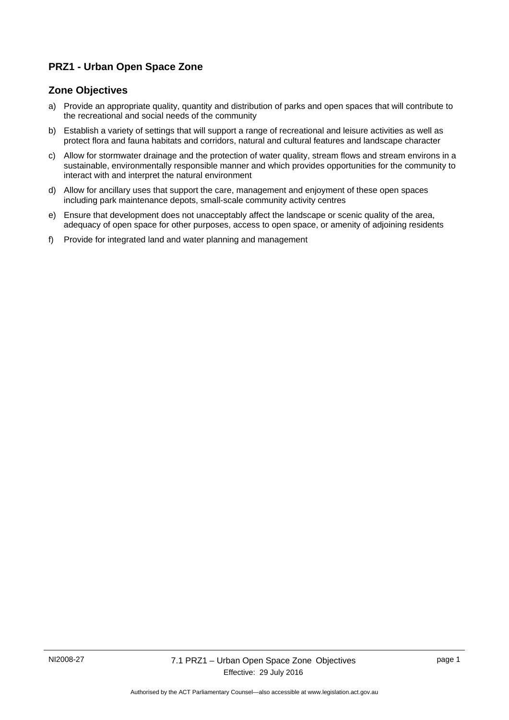## **PRZ1 - Urban Open Space Zone**

## **Zone Objectives**

- a) Provide an appropriate quality, quantity and distribution of parks and open spaces that will contribute to the recreational and social needs of the community
- b) Establish a variety of settings that will support a range of recreational and leisure activities as well as protect flora and fauna habitats and corridors, natural and cultural features and landscape character
- c) Allow for stormwater drainage and the protection of water quality, stream flows and stream environs in a sustainable, environmentally responsible manner and which provides opportunities for the community to interact with and interpret the natural environment
- d) Allow for ancillary uses that support the care, management and enjoyment of these open spaces including park maintenance depots, small-scale community activity centres
- e) Ensure that development does not unacceptably affect the landscape or scenic quality of the area, adequacy of open space for other purposes, access to open space, or amenity of adjoining residents
- f) Provide for integrated land and water planning and management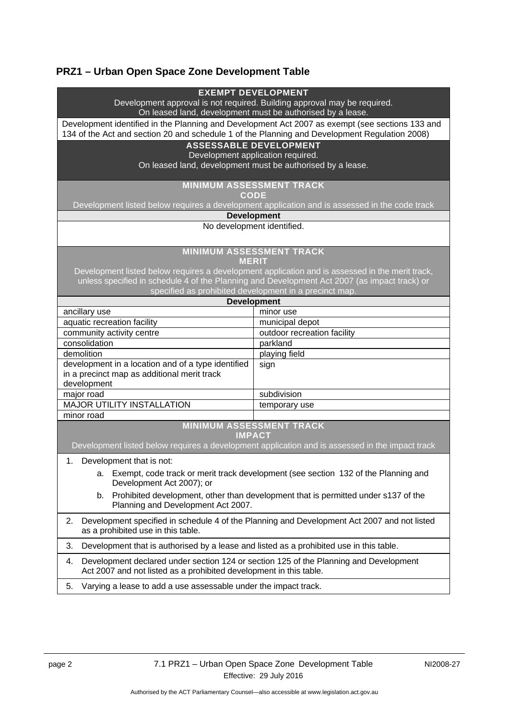# **PRZ1 – Urban Open Space Zone Development Table**

| <b>EXEMPT DEVELOPMENT</b><br>Development approval is not required. Building approval may be required.                                                                                                                                                          |                                                                                                 |
|----------------------------------------------------------------------------------------------------------------------------------------------------------------------------------------------------------------------------------------------------------------|-------------------------------------------------------------------------------------------------|
| On leased land, development must be authorised by a lease.<br>Development identified in the Planning and Development Act 2007 as exempt (see sections 133 and<br>134 of the Act and section 20 and schedule 1 of the Planning and Development Regulation 2008) |                                                                                                 |
| <b>ASSESSABLE DEVELOPMENT</b>                                                                                                                                                                                                                                  |                                                                                                 |
| Development application required.                                                                                                                                                                                                                              |                                                                                                 |
| On leased land, development must be authorised by a lease.                                                                                                                                                                                                     |                                                                                                 |
| <b>MINIMUM ASSESSMENT TRACK</b>                                                                                                                                                                                                                                |                                                                                                 |
| <b>CODE</b>                                                                                                                                                                                                                                                    |                                                                                                 |
| Development listed below requires a development application and is assessed in the code track                                                                                                                                                                  |                                                                                                 |
| <b>Development</b>                                                                                                                                                                                                                                             |                                                                                                 |
| No development identified.                                                                                                                                                                                                                                     |                                                                                                 |
| <b>MINIMUM ASSESSMENT TRACK</b><br><b>MERIT</b>                                                                                                                                                                                                                |                                                                                                 |
| Development listed below requires a development application and is assessed in the merit track,                                                                                                                                                                |                                                                                                 |
| unless specified in schedule 4 of the Planning and Development Act 2007 (as impact track) or                                                                                                                                                                   |                                                                                                 |
| specified as prohibited development in a precinct map.                                                                                                                                                                                                         |                                                                                                 |
| <b>Development</b>                                                                                                                                                                                                                                             |                                                                                                 |
| ancillary use                                                                                                                                                                                                                                                  | minor use                                                                                       |
| aquatic recreation facility                                                                                                                                                                                                                                    | municipal depot                                                                                 |
| community activity centre                                                                                                                                                                                                                                      | outdoor recreation facility                                                                     |
| consolidation                                                                                                                                                                                                                                                  | parkland                                                                                        |
| demolition                                                                                                                                                                                                                                                     | playing field                                                                                   |
| development in a location and of a type identified                                                                                                                                                                                                             | sign                                                                                            |
| in a precinct map as additional merit track                                                                                                                                                                                                                    |                                                                                                 |
| development                                                                                                                                                                                                                                                    |                                                                                                 |
| major road                                                                                                                                                                                                                                                     | subdivision                                                                                     |
| <b>MAJOR UTILITY INSTALLATION</b>                                                                                                                                                                                                                              | temporary use                                                                                   |
| minor road                                                                                                                                                                                                                                                     |                                                                                                 |
| <b>MINIMUM ASSESSMENT TRACK</b><br><b>IMPACT</b>                                                                                                                                                                                                               |                                                                                                 |
|                                                                                                                                                                                                                                                                | Development listed below requires a development application and is assessed in the impact track |
| 1. Development that is not:                                                                                                                                                                                                                                    |                                                                                                 |
| Exempt, code track or merit track development (see section 132 of the Planning and<br>а.<br>Development Act 2007); or                                                                                                                                          |                                                                                                 |
| Prohibited development, other than development that is permitted under s137 of the<br>b.<br>Planning and Development Act 2007.                                                                                                                                 |                                                                                                 |
| Development specified in schedule 4 of the Planning and Development Act 2007 and not listed<br>2.<br>as a prohibited use in this table.                                                                                                                        |                                                                                                 |
| Development that is authorised by a lease and listed as a prohibited use in this table.<br>3.                                                                                                                                                                  |                                                                                                 |
| Development declared under section 124 or section 125 of the Planning and Development<br>4.<br>Act 2007 and not listed as a prohibited development in this table.                                                                                              |                                                                                                 |
| Varying a lease to add a use assessable under the impact track.<br>5.                                                                                                                                                                                          |                                                                                                 |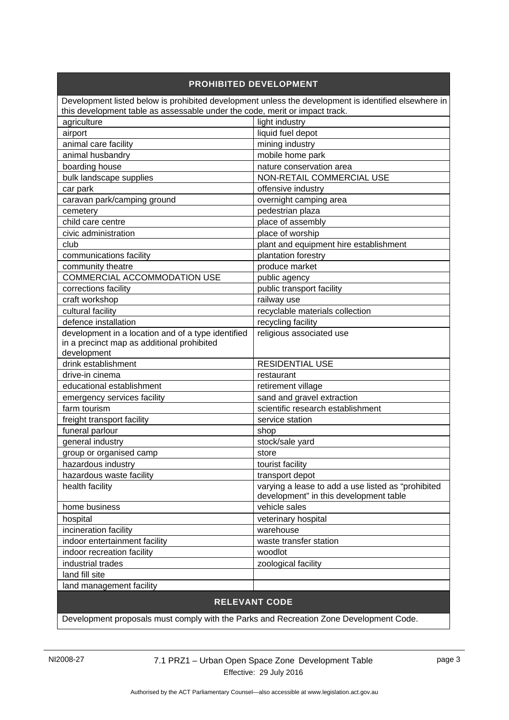#### **PROHIBITED DEVELOPMENT** Development listed below is prohibited development unless the development is identified elsewhere in this development table as assessable under the code, merit or impact track. agriculture light industry airport liquid fuel depot animal care facility mining industry animal husbandry mobile home park boarding house nature conservation area bulk landscape supplies  $\vert$  NON-RETAIL COMMERCIAL USE car park of the care of the care of the care of the care of the care of the care of the care of the care of the care of the care of the care of the care of the care of the care of the care of the care of the care of the ca caravan park/camping ground and solution overnight camping area cemetery entertainment of the contract of the pedestrian plaza child care centre place of assembly civic administration place of worship club plant and equipment hire establishment communications facility example and plantation forestry community theatre produce market COMMERCIAL ACCOMMODATION USE public agency corrections facility example of public transport facility craft workshop railway use cultural facility recyclable materials collection defence installation and recycling facility development in a location and of a type identified in a precinct map as additional prohibited development religious associated use drink establishment **RESIDENTIAL USE** drive-in cinema restaurant educational establishment retirement village emergency services facility sand and gravel extraction farm tourism scientific research establishment freight transport facility service station funeral parlour shop shop general industry stock/sale yard group or organised camp store state store hazardous industry tourist facility hazardous waste facility transport depot health facility varying a lease to add a use listed as "prohibited" development" in this development table home business vehicle sales hospital veterinary hospital incineration facility warehouse indoor entertainment facility waste transfer station indoor recreation facility woodlot industrial trades zoological facility land fill site land management facility

#### **RELEVANT CODE**

Development proposals must comply with the Parks and Recreation Zone Development Code.

NI2008-27 7.1 PRZ1 – Urban Open Space Zone Development Table Effective: 29 July 2016